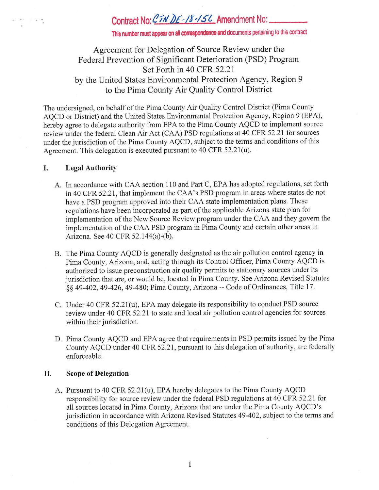# Contract No: CIN DE - 18 - 15 L Amendment No: \_

This number must appear on all correspondence and documents pertaining to this contract

## Agreement for Delegation of Source Review under the Federal Prevention of Significant Deterioration (PSD) Program Set Forth in 40 CFR 52.21 by the United States Environmental Protection Agency, Region 9 to the Pima County Air Quality Control District

The undersigned, on behalf of the Pima County Air Quality Control District (Pima County AQCD or District) and the United States Environmental Protection Agency, Region 9 (EPA), hereby agree to delegate authority from EPA to the Pima County AQCD to implement source review under the federal Clean Air Act (CAA) PSD regulations at 40 CFR 52.21 for sources under the jurisdiction of the Pima County AQCD, subject to the terms and conditions of this Agreement. This delegation is executed pursuant to 40 CFR 52.21(u).

#### I. **Legal Authority**

 $\sim$   $\sim$ 

- A. In accordance with CAA section 110 and Part C, EPA has adopted regulations, set forth in 40 CFR 52.21 , that implement the CAA's PSD program in areas where states do not have a PSD program approved into their CAA state implementation plans. These regulations have been incorporated as part of the applicable Arizona state plan for implementation of the New Source Review program under the CAA and they govern the implementation of the CAA PSD program in Pima County and certain other areas in Arizona. See 40 CFR 52.144(a)-(b).
- B. The Pima County AQCD is generally designated as the air pollution control agency in Pima County, Arizona, and, acting through its Control Officer, Pima County AQCD is authorized to issue preconstruction air quality permits to stationary sources under its jurisdiction that are, or would be, located in Pima County. See Arizona Revised Statutes §§ 49-402, 49-426, 49-480; Pima County, Arizona -- Code of Ordinances, Title 17.
- C. Under 40 CFR 52.21 (u), EPA may delegate its responsibility to conduct PSD source review under 40 CFR 52.21 to state and local air pollution control agencies for sources within their jurisdiction.
- D. Pima County AQCD and EPA agree that requirements in PSD permits issued by the Pima County AQCD under 40 CFR 52.21 , pursuant to this delegation of authority, are federally enforceable.

#### II. **Scope of Delegation**

A. Pursuant to 40 CFR 52.2l(u), EPA hereby delegates to the Pima County AQCD responsibility for source review under the federal PSD regulations at 40 CFR 52.21 for all sources located in Pima County, Arizona that are under the Pima County AQCD's jurisdiction in accordance with Arizona Revised Statutes 49-402, subject to the terms and conditions of this Delegation Agreement.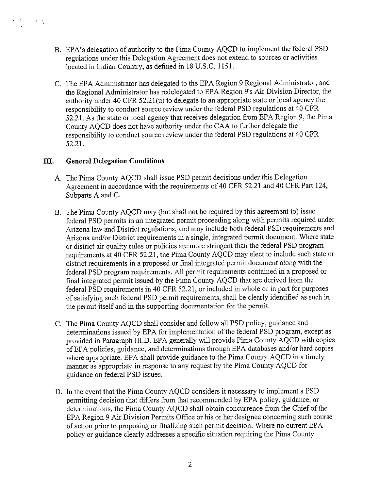- B. EPA's delegation of authority to the Pima County AQCD to implement the federal PSD regulations under this Delegation Agreement does not extend to sources or activities located in Indian Country, as defined in 18 U.S.C. 1151.
- C. The EPA Administrator has delegated to the EPA Region 9 Regional Administrator, and the Regional Administrator has redelegated to EPA Region 9's Air Division Director, the authority under 40 CFR 52.21 (u) to delegate to an appropriate state or local agency the responsibility to conduct source review under the federal PSD regulations at 40 CFR 52.21. As the state or local agency that receives delegation from EPA Region 9, the Pima County AQCD does not have authority under the CAA to further delegate the responsibility to conduct source review under the federal PSD regulations at 40 CFR 52.21.

## **III. General Delegation Conditions**

 $\sim$   $\sim$ 

- A. The Pima County AQCD shall issue PSD permit decisions under this Delegation Agreement in accordance with the requirements of 40 CFR 52.21 and 40 CFR Part 124, Subparts A and C.
- B. The Pima County AQCD may (but shall not be required by this agreement to) issue federal PSD permits in an integrated permit proceeding along with permits required under Arizona law and District regulations, and may include both federal PSD requirements and Arizona and/or District requirements in a single, integrated permit document. Where state or district air quality rules or policies are more stringent than the federal PSD program requirements at 40 CFR 52.21, the Pima County AQCD may elect to include such state or district requirements in a proposed or final integrated permit document along with the federal PSD program requirements. All permit requirements contained in a proposed or final integrated permit issued by the Pima County AQCD that are derived from the federal PSD requirements in 40 CFR 52.21, or included in whole or in part for purposes of satisfying such federal PSD permit requirements, shall be clearly identified as such in the permit itself and in the supporting documentation for the permit.
- C. The Pima County AQCD shall consider and follow all PSD policy, guidance and determinations issued by EPA for implementation of the federal PSD program, except as provided in Paragraph III.D. EPA generally will provide Pima County AQCD with copies of EPA policies, guidance, and determinations through EPA databases and/or hard copies where appropriate. EPA shall provide guidance to the Pima County AQCD in a timely manner as appropriate in response to any request by the Pima County AQCD for guidance on federal PSD issues.
- D. In the event that the Pima County AQCD considers it necessary to implement a PSD permitting decision that differs from that recommended by EPA policy, guidance, or determinations, the Pima County AQCD shall obtain concurrence from the Chief of the EPA Region 9 Air Division Permits Office or his or her designee concerning such course of action prior to proposing or finalizing such permit decision. Where no current EPA policy or guidance clearly addresses a specific situation requiring the Pima County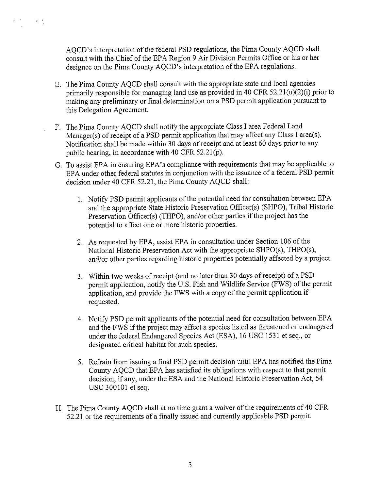AQCD's interpretation of the federal PSD regulations, the Pima County AQCD shall consult with the Chief of the EPA Region 9 Air Division Permits Office or his or her designee on the Pima County AQCD's interpretation of the EPA regulations.

 $\mathcal{A}=\mathcal{A}$ 

- E. The Pima County AQCD shall consult with the appropriate state and local agencies primarily responsible for managing land use as provided in 40 CFR  $52.21(u)(2)(i)$  prior to making any preliminary or final determination on a PSD permit application pursuant to this Delegation Agreement.
- F. The Pima County AQCD shall notify the appropriate Class I area Federal Land Manager(s) of receipt of a PSD permit application that may affect any Class I area(s). Notification shall be made within 30 days of receipt and at least 60 days prior to any public hearing, in accordance with 40 CFR 52.2l(p).
- G. To assist EPA in ensuring EPA's compliance with requirements that may be applicable to EPA under other federal statutes in conjunction with the issuance of a federal PSD permit decision under 40 CFR 52.21, the Pima County AQCD shall:
	- I. Notify PSD permit applicants of the potential need for consultation between EPA and the appropriate State Historic Preservation Officer(s) (SHPO), Tribal Historic Preservation Officer(s) (THPO), and/or other parties if the project has the potential to affect one or more historic properties.
	- 2. As requested by EPA, assist EPA in consultation under Section I 06 of the National Historic Preservation Act with the appropriate SHPO(s), THPO(s), and/or other parties regarding historic properties potentially affected by a project.
	- 3. Within two weeks of receipt (and no later than 30 days of receipt) of a PSD permit application, notify the U.S. Fish and Wildlife Service (FWS) of the permit application, and provide the FWS with a copy of the permit application if requested.
	- 4. Notify PSD permit applicants of the potential need for consultation between EPA and the FWS if the project may affect a species listed as threatened or endangered under the federal Endangered Species Act (ESA), 16 USC 1531 et seq., or designated critical habitat for such species.
	- 5. Refrain from issuing a final PSD permit decision until EPA has notified the Pima County AQCD that EPA has satisfied its obligations with respect to that permit decision, if any, under the ESA and the National Historic Preservation Act, 54 USC 300101 et seq.
- H. The Pima County AQCD shall at no time grant a waiver of the requirements of 40 CFR 52.21 or the requirements of a finally issued and currently applicable PSD permit.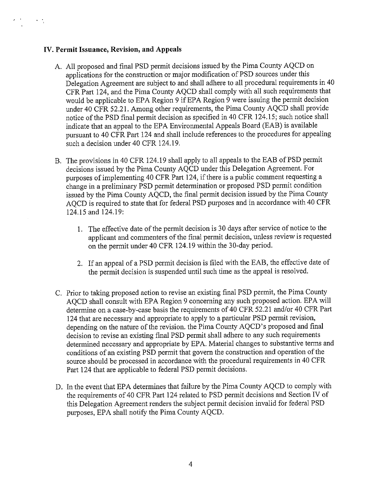#### **IV. Permit Issuance, Revision, and Appeals**

 $\sigma = \frac{1}{2}$ 

- A. All proposed and final PSD permit decisions issued by the Pima County AQCD on applications for the construction or major modification of PSD sources under this Delegation Agreement are subject to and shall adhere to all procedural requirements in 40 CFR Part 124, and the Pima County AQCD shall comply with all such requirements that would be applicable to EPA Region 9 if EPA Region 9 were issuing the permit decision under 40 CFR 52.21. Among other requirements, the Pima County AQCD shall provide notice of the PSD final permit decision as specified in 40 CFR 124.15; such notice shall indicate that an appeal to the EPA Environmental Appeals Board (EAB) is available pursuant to 40 CFR Part 124 and shall include references to the procedures for appealing such a decision under 40 CFR 124.19.
- B. The provisions in 40 CFR 124.19 shall apply to all appeals to the EAB of PSD permit decisions issued by the Pima County AQCD under this Delegation Agreement. For purposes of implementing 40 CFR Part 124, if there is a public comment requesting a change in a preliminary PSD permit determination or proposed PSD permit condition issued by the Pima County AQCD, the final permit decision issued by the Pima County AQCD is required to state that for federal PSD purposes and in accordance with 40 CFR 124.15 and 124.19:
	- 1. The effective date of the permit decision is 30 days after service of notice to the applicant and commenters of the final permit decision, unless review is requested on the permit under 40 CFR 124.19 within the 30-day period.
	- 2. If an appeal of a PSD permit decision is filed with the EAB, the effective date of the permit decision is suspended until such time as the appeal is resolved.
- C. Prior to taking proposed action to revise an existing final PSD permit, the Pima County AQCD shall consult with EPA Region 9 concerning any such proposed action. EPA will determine on a case-by-case basis the requirements of 40 CFR 52.21 and/or 40 CFR Part 124 that are necessary and appropriate to apply to a particular PSD permit revision, depending on the nature of the revision. the Pima County AQCD's proposed and final decision to revise an existing final PSD permit shall adhere to any such requirements determined necessary and appropriate by EPA. Material changes to substantive terms and conditions of an existing PSD permit that govern the construction and operation of the source should be processed in accordance with the procedural requirements in 40 CFR Part 124 that are applicable to federal PSD permit decisions.
- D. In the event that EPA determines that failure by the Pima County AQCD to comply with the requirements of 40 CFR Part 124 related to PSD permit decisions and Section IV of this Delegation Agreement renders the subject permit decision invalid for federal PSD purposes, EPA shall notify the Pima County AQCD.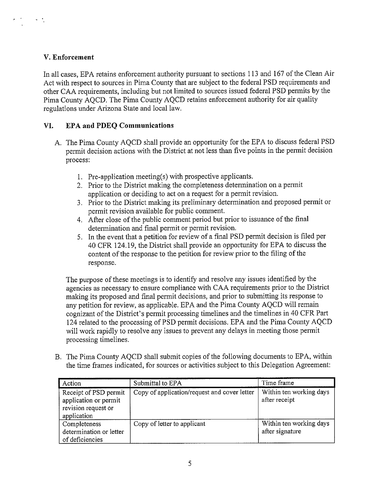## **V. Enforcement**

 $\mathcal{A}=\frac{1}{2}$ 

In all cases, EPA retains enforcement authority pursuant to sections 113 and 167 of the Clean Air Act with respect to sources in Pima County that are subject to the federal PSD requirements and other CAA requirements, including but not limited to sources issued federal PSD permits by the Pima County AQCD. The Pima County AQCD retains enforcement authority for air quality regulations under Arizona State and local law.

## **VI. EPA and PDEQ Communications**

- A. The Pima County AQCD shall provide an opportunity for the EPA to discuss federal PSD permit decision actions with the District at not less than five points in the permit decision process:
	- 1. Pre-application meeting(s) with prospective applicants.
	- 2. Prior to the District making the completeness determination on a permit application or deciding to act on a request for a permit revision.
	- 3. Prior to the District making its preliminary determination and proposed permit or permit revision available for public comment.
	- 4. After close of the public comment period but prior to issuance of the final determination and final permit or permit revision.
	- 5. In the event that a petition for review of a final PSD permit decision is filed per 40 CFR 124.19, the District shall provide an opportunity for EPA to discuss the content of the response to the petition for review prior to the filing of the response.

The purpose of these meetings is to identify and resolve any issues identified by the agencies as necessary to ensure compliance with CAA requirements prior to the District making its proposed and final permit decisions, and prior to submitting its response to any petition for review, as applicable. EPA and the Pima County AQCD will remain cognizant of the District's permit processing timelines and the timelines in 40 CFR Part 124 related to the processing of PSD permit decisions. EPA and the Pima County AQCD will work rapidly to resolve any issues to prevent any delays in meeting those permit processing timelines.

B. The Pima County AQCD shall submit copies of the following documents to EPA, within the time frames indicated, for sources or activities subject to this Delegation Agreement:

| Action                                                                               | Submittal to EPA                             | Time frame                                 |
|--------------------------------------------------------------------------------------|----------------------------------------------|--------------------------------------------|
| Receipt of PSD permit<br>application or permit<br>revision request or<br>application | Copy of application/request and cover letter | Within ten working days<br>after receipt   |
| Completeness<br>determination or letter<br>of deficiencies                           | Copy of letter to applicant                  | Within ten working days<br>after signature |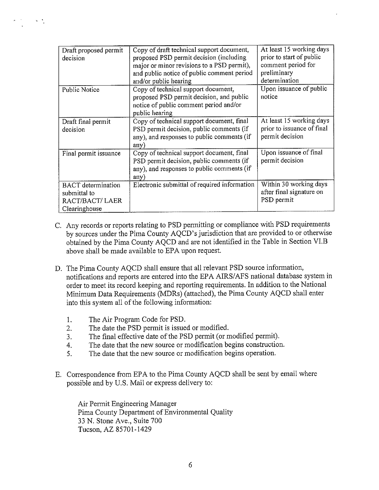| Draft proposed permit<br>decision                                            | Copy of draft technical support document,<br>proposed PSD permit decision (including<br>major or minor revisions to a PSD permit),<br>and public notice of public comment period<br>and/or public hearing | At least 15 working days<br>prior to start of public<br>comment period for<br>preliminary<br>determination |
|------------------------------------------------------------------------------|-----------------------------------------------------------------------------------------------------------------------------------------------------------------------------------------------------------|------------------------------------------------------------------------------------------------------------|
| <b>Public Notice</b>                                                         | Copy of technical support document,<br>proposed PSD permit decision, and public<br>notice of public comment period and/or<br>public hearing                                                               | Upon issuance of public<br>notice                                                                          |
| Draft final permit<br>decision                                               | Copy of technical support document, final<br>PSD permit decision, public comments (if<br>any), and responses to public comments (if<br>any)                                                               | At least 15 working days<br>prior to issuance of final<br>permit decision                                  |
| Final permit issuance                                                        | Copy of technical support document, final<br>PSD permit decision, public comments (if<br>any), and responses to public comments (if<br>any)                                                               | Upon issuance of final<br>permit decision                                                                  |
| <b>BACT</b> determination<br>submittal to<br>RACT/BACT/LAER<br>Clearinghouse | Electronic submittal of required information                                                                                                                                                              | Within 30 working days<br>after final signature on<br>PSD permit                                           |

- C. Any records or reports relating to PSD permitting or compliance with PSD requirements by sources tmder the Pima County AQCD's jurisdiction that are provided to or otherwise obtained by the Pima County AQCD and are not identified in the Table in Section VI.B above shall be made available to EPA upon request.
- D. The Pima County AQCD shall ensure that all relevant PSD source information, notifications and reports are entered into the EPA AIRS/AFS national database system in order to meet its record keeping and reporting requirements. In addition to the National Minimum Data Requirements (MDRs) (attached), the Pima County AQCD shall enter into this system all of the following information:
	- 1. The Air Program Code for PSD.
	- 2. The date the PSD permit is issued or modified.
	- 3. The final effective date of the PSD permit (or modified permit).
	- 4. The date that the new source or modification begins construction.
	- 5. The date that the new source or modification begins operation.
- E. Correspondence from EPA to the Pima County AQCD shall be sent by email where possible and by U.S. Mail or express delivery to:

Air Permit Engineering Manager Pima County Department of Environmental Quality 33 N. Stone Ave., Suite 700 Tucson, AZ 85701-1429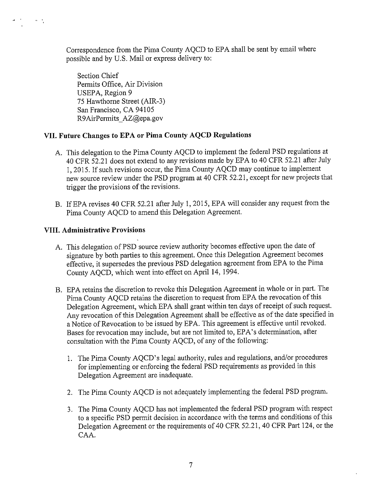Correspondence from the Pima County AQCD to EPA shall be sent by email where possible and by U.S. Mail or express delivery to:

Section Chief Permits Office, Air Division USEPA, Region 9 75 Hawthorne Street (AIR-3) San Francisco, CA 94105 R9AirPermits AZ@epa.gov

## **VII. Future Changes to EPA or Pima County AQCD Regulations**

- A. This delegation to the Pima County AQCD to implement the federal PSD regulations at 40 CFR 52.21 does not extend to any revisions made by EPA to 40 CFR 52.21 after July 1, 2015. If such revisions occur, the Pima County AQCD may continue to implement new source review under the PSD program at 40 CFR 52.21, except for new projects that trigger the provisions of the revisions.
- B. IfEPA revises 40 CFR 52.21 after July 1, 2015, EPA will consider any request from the Pima County AQCD to amend this Delegation Agreement.

## **VIII. Administrative Provisions**

 $\sim$   $\sim$ 

- A. This delegation of PSD source review authority becomes effective upon the date of signature by both parties to this agreement. Once this Delegation Agreement becomes effective, it supersedes the previous PSD delegation agreement from EPA to the Pima County AQCD, which went into effect on April 14, 1994.
- B. EPA retains the discretion to revoke this Delegation Agreement in whole or in part. The Pima County AQCD retains the discretion to request from EPA the revocation of this Delegation Agreement, which EPA shall grant within ten days of receipt of such request. Any revocation of this Delegation Agreement shall be effective as of the date specified in a Notice of Revocation to be issued by EPA. This agreement is effective until revoked. Bases for revocation may include, but are not limited to, EPA's determination, after consultation with the Pima County AQCD, of any of the following:
	- 1. The Pima County AQCD's legal authority, rules and regulations, and/or procedures for implementing or enforcing the federal PSD requirements as provided in this Delegation Agreement are inadequate.
	- 2. The Pima County AQCD is not adequately implementing the federal PSD program.
	- 3. The Pima County AQCD has not implemented the federal PSD program with respect to a specific PSD permit decision in accordance with the terms and conditions of this Delegation Agreement or the requirements of 40 CFR 52.21, 40 CFR Part 124, or the CAA.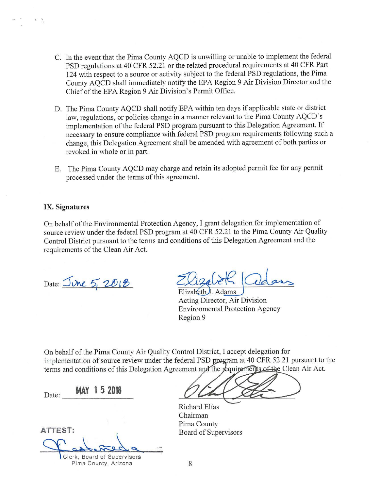- C. In the event that the Pima County AQCD is unwilling or unable to implement the federal PSD regulations at 40 CFR 52.21 or the related procedural requirements at 40 CFR Part 124 with respect to a source or activity subject to the federal PSD regulations, the Pima County AQCD shall immediately notify the EPA Region 9 Air Division Director and the Chief of the EPA Region 9 Air Division's Permit Office.
- D. The Pima County AQCD shall notify EPA within ten days if applicable state or district law, regulations, or policies change in a manner relevant to the Pima County AQCD's implementation of the federal PSD program pursuant to this Delegation Agreement. If necessary to ensure compliance with federal PSD program requirements following such a change, this Delegation Agreement shall be amended with agreement of both parties or revoked in whole or in part.
- E. The Pima County AQCD may charge and retain its adopted permit fee for any permit processed under the terms of this agreement.

#### **IX. Signatures**

. '

On behalf of the Environmental Protection Agency, I grant delegation for implementation of source review under the federal PSD program at 40 CFR 52.21 to the Pima County Air Quality Control District pursuant to the terms and conditions of this Delegation Agreement and the requirements of the Clean Air Act.

Date: <u>June 5, 2013</u><br>Elizabeth Adams<br>Acting Director, Air Division Environmental Protection Agency Region 9

On behalf of the Pima County Air Quality Control District, I accept delegation for implementation of source review under the federal PSD program at 40 CFR 52.21 pursuant to the terms and conditions of this Delegation Agreement and the requirements of the Clean Air Act.

Date: **MAY 1 5 2018** 

**ATTEST:** 

Richard Elias

Chairman Pima County Board of Supervisors

Clerk, Board of Supervisors Pima County, Arizona  $8$